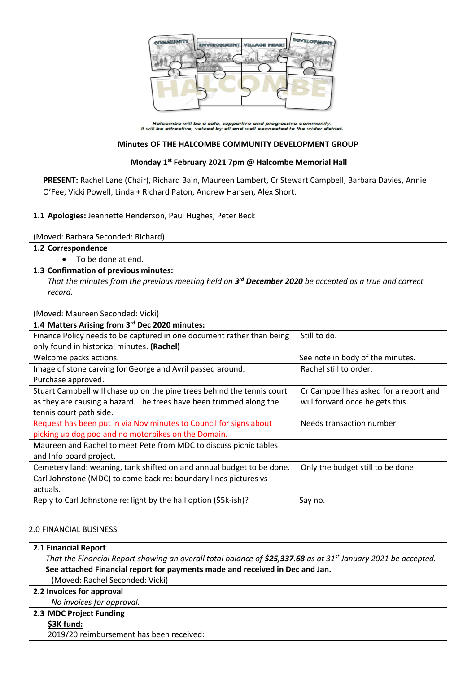

Halcombe will be a safe, supportive and progressive community.<br>It will be attractive, valued by all and well connected to the wider district.

## **Minutes OF THE HALCOMBE COMMUNITY DEVELOPMENT GROUP**

## **Monday 1st February 2021 7pm @ Halcombe Memorial Hall**

**PRESENT:** Rachel Lane (Chair), Richard Bain, Maureen Lambert, Cr Stewart Campbell, Barbara Davies, Annie O'Fee, Vicki Powell, Linda + Richard Paton, Andrew Hansen, Alex Short.

| 1.1 Apologies: Jeannette Henderson, Paul Hughes, Peter Beck                                              |                                        |
|----------------------------------------------------------------------------------------------------------|----------------------------------------|
| (Moved: Barbara Seconded: Richard)                                                                       |                                        |
| 1.2 Correspondence                                                                                       |                                        |
| To be done at end.                                                                                       |                                        |
| 1.3 Confirmation of previous minutes:                                                                    |                                        |
| That the minutes from the previous meeting held on $3rd$ December 2020 be accepted as a true and correct |                                        |
| record.                                                                                                  |                                        |
|                                                                                                          |                                        |
| (Moved: Maureen Seconded: Vicki)                                                                         |                                        |
| 1.4 Matters Arising from 3rd Dec 2020 minutes:                                                           |                                        |
| Finance Policy needs to be captured in one document rather than being                                    | Still to do.                           |
| only found in historical minutes. (Rachel)                                                               |                                        |
| Welcome packs actions.                                                                                   | See note in body of the minutes.       |
| Image of stone carving for George and Avril passed around.                                               | Rachel still to order.                 |
| Purchase approved.                                                                                       |                                        |
| Stuart Campbell will chase up on the pine trees behind the tennis court                                  | Cr Campbell has asked for a report and |
| as they are causing a hazard. The trees have been trimmed along the                                      | will forward once he gets this.        |
| tennis court path side.                                                                                  |                                        |
| Request has been put in via Nov minutes to Council for signs about                                       | Needs transaction number               |
| picking up dog poo and no motorbikes on the Domain.                                                      |                                        |
| Maureen and Rachel to meet Pete from MDC to discuss picnic tables                                        |                                        |
| and Info board project.                                                                                  |                                        |
| Cemetery land: weaning, tank shifted on and annual budget to be done.                                    | Only the budget still to be done       |
| Carl Johnstone (MDC) to come back re: boundary lines pictures vs                                         |                                        |
| actuals.                                                                                                 |                                        |
| Reply to Carl Johnstone re: light by the hall option (\$5k-ish)?                                         | Say no.                                |

# 2.0 FINANCIAL BUSINESS

## **2.1 Financial Report**

*That the Financial Report showing an overall total balance of \$25,337.68 as at 31 st January 2021 be accepted.* **See attached Financial report for payments made and received in Dec and Jan.** (Moved: Rachel Seconded: Vicki)

## **2.2 Invoices for approval**

*No invoices for approval.*

# **2.3 MDC Project Funding**

**\$3K fund:**

2019/20 reimbursement has been received: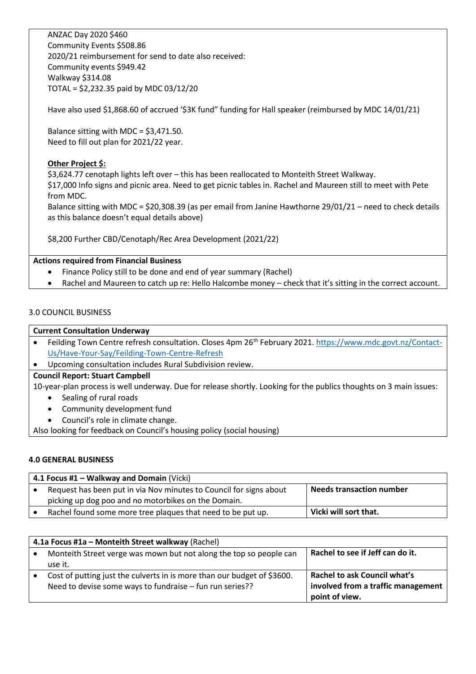ANZAC Day 2020 \$460 Community Events \$508.86 2020/21 reimbursement for send to date also received: Community events \$949.42 Walkway \$314.08 TOTAL = \$2,232.35 paid by MDC 03/12/20

Have also used \$1,868.60 of accrued '\$3K fund" funding for Hall speaker (reimbursed by MDC 14/01/21)

Balance sitting with MDC = \$3,471.50. Need to fill out plan for 2021/22 year.

# **Other Project \$:**

\$3,624.77 cenotaph lights left over – this has been reallocated to Monteith Street Walkway. \$17,000 Info signs and picnic area. Need to get picnic tables in. Rachel and Maureen still to meet with Pete from MDC.

Balance sitting with MDC = \$20,308.39 (as per email from Janine Hawthorne 29/01/21 – need to check details as this balance doesn't equal details above)

\$8,200 Further CBD/Cenotaph/Rec Area Development (2021/22)

# **Actions required from Financial Business**

- Finance Policy still to be done and end of year summary (Rachel)
- Rachel and Maureen to catch up re: Hello Halcombe money check that it's sitting in the correct account.

# 3.0 COUNCIL BUSINESS

## **Current Consultation Underway**

• Feilding Town Centre refresh consultation. Closes 4pm 26<sup>th</sup> February 2021[. https://www.mdc.govt.nz/Contact-](https://www.mdc.govt.nz/Contact-Us/Have-Your-Say/Feilding-Town-Centre-Refresh)[Us/Have-Your-Say/Feilding-Town-Centre-Refresh](https://www.mdc.govt.nz/Contact-Us/Have-Your-Say/Feilding-Town-Centre-Refresh)

Upcoming consultation includes Rural Subdivision review.

## **Council Report: Stuart Campbell**

10-year-plan process is well underway. Due for release shortly. Looking for the publics thoughts on 3 main issues:

- Sealing of rural roads
- Community development fund
- Council's role in climate change.

Also looking for feedback on Council's housing policy (social housing)

## **4.0 GENERAL BUSINESS**

| 4.1 Focus #1 - Walkway and Domain (Vicki) |                                                                    |                                 |
|-------------------------------------------|--------------------------------------------------------------------|---------------------------------|
|                                           | Request has been put in via Nov minutes to Council for signs about | <b>Needs transaction number</b> |
|                                           | picking up dog poo and no motorbikes on the Domain.                |                                 |
|                                           | Rachel found some more tree plaques that need to be put up.        | Vicki will sort that.           |

| 4.1a Focus #1a – Monteith Street walkway (Rachel)                       |                                     |  |
|-------------------------------------------------------------------------|-------------------------------------|--|
| Monteith Street verge was mown but not along the top so people can      | Rachel to see if Jeff can do it.    |  |
| use it.                                                                 |                                     |  |
| Cost of putting just the culverts in is more than our budget of \$3600. | <b>Rachel to ask Council what's</b> |  |
| Need to devise some ways to fundraise - fun run series??                | involved from a traffic management  |  |
|                                                                         | point of view.                      |  |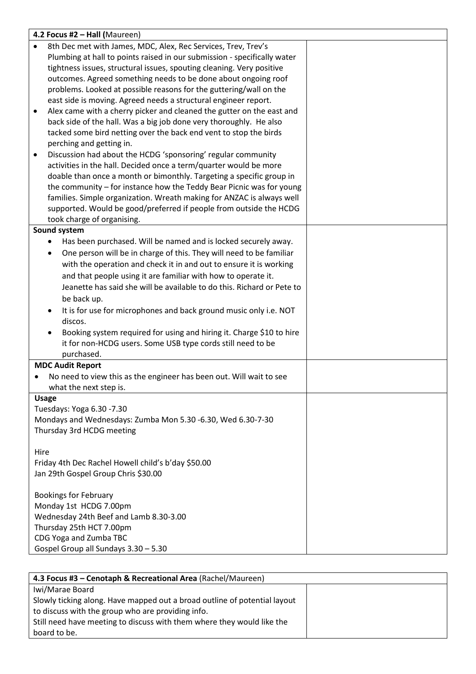|              | 4.2 Focus #2 - Hall (Maureen)                                                                  |  |
|--------------|------------------------------------------------------------------------------------------------|--|
| $\bullet$    | 8th Dec met with James, MDC, Alex, Rec Services, Trev, Trev's                                  |  |
|              | Plumbing at hall to points raised in our submission - specifically water                       |  |
|              | tightness issues, structural issues, spouting cleaning. Very positive                          |  |
|              | outcomes. Agreed something needs to be done about ongoing roof                                 |  |
|              | problems. Looked at possible reasons for the guttering/wall on the                             |  |
|              | east side is moving. Agreed needs a structural engineer report.                                |  |
| $\bullet$    | Alex came with a cherry picker and cleaned the gutter on the east and                          |  |
|              | back side of the hall. Was a big job done very thoroughly. He also                             |  |
|              | tacked some bird netting over the back end vent to stop the birds                              |  |
|              | perching and getting in.                                                                       |  |
| ٠            | Discussion had about the HCDG 'sponsoring' regular community                                   |  |
|              | activities in the hall. Decided once a term/quarter would be more                              |  |
|              | doable than once a month or bimonthly. Targeting a specific group in                           |  |
|              | the community - for instance how the Teddy Bear Picnic was for young                           |  |
|              | families. Simple organization. Wreath making for ANZAC is always well                          |  |
|              | supported. Would be good/preferred if people from outside the HCDG                             |  |
|              | took charge of organising.                                                                     |  |
|              | Sound system                                                                                   |  |
|              | Has been purchased. Will be named and is locked securely away.                                 |  |
|              | One person will be in charge of this. They will need to be familiar<br>$\bullet$               |  |
|              | with the operation and check it in and out to ensure it is working                             |  |
|              | and that people using it are familiar with how to operate it.                                  |  |
|              | Jeanette has said she will be available to do this. Richard or Pete to                         |  |
|              | be back up.                                                                                    |  |
|              |                                                                                                |  |
|              | It is for use for microphones and back ground music only i.e. NOT                              |  |
|              | discos.                                                                                        |  |
|              | Booking system required for using and hiring it. Charge \$10 to hire<br>$\bullet$              |  |
|              | it for non-HCDG users. Some USB type cords still need to be                                    |  |
|              | purchased.                                                                                     |  |
|              | <b>MDC Audit Report</b><br>No need to view this as the engineer has been out. Will wait to see |  |
|              |                                                                                                |  |
| <b>Usage</b> | what the next step is.                                                                         |  |
|              | Tuesdays: Yoga 6.30 -7.30                                                                      |  |
|              | Mondays and Wednesdays: Zumba Mon 5.30 -6.30, Wed 6.30-7-30                                    |  |
|              | Thursday 3rd HCDG meeting                                                                      |  |
|              |                                                                                                |  |
| Hire         |                                                                                                |  |
|              | Friday 4th Dec Rachel Howell child's b'day \$50.00                                             |  |
|              | Jan 29th Gospel Group Chris \$30.00                                                            |  |
|              |                                                                                                |  |
|              | <b>Bookings for February</b>                                                                   |  |
|              | Monday 1st HCDG 7.00pm                                                                         |  |
|              | Wednesday 24th Beef and Lamb 8.30-3.00                                                         |  |
|              | Thursday 25th HCT 7.00pm                                                                       |  |
|              | CDG Yoga and Zumba TBC                                                                         |  |
|              | Gospel Group all Sundays 3.30 - 5.30                                                           |  |
|              |                                                                                                |  |

| 4.3 Focus #3 - Cenotaph & Recreational Area (Rachel/Maureen)              |  |
|---------------------------------------------------------------------------|--|
| Iwi/Marae Board                                                           |  |
| Slowly ticking along. Have mapped out a broad outline of potential layout |  |
| to discuss with the group who are providing info.                         |  |
| Still need have meeting to discuss with them where they would like the    |  |
| board to be.                                                              |  |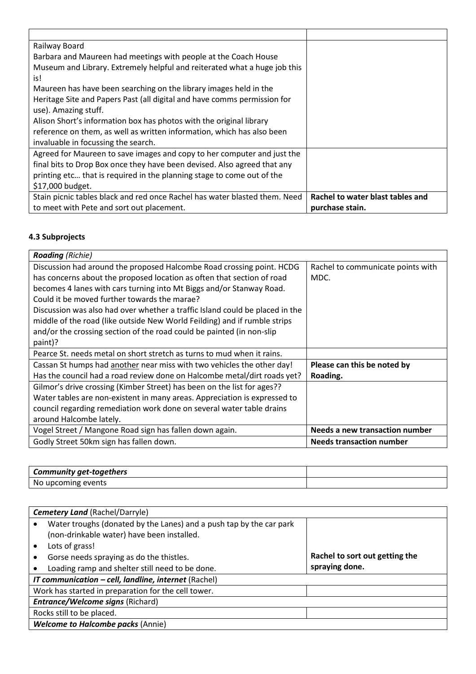| Railway Board                                                              |                                  |
|----------------------------------------------------------------------------|----------------------------------|
| Barbara and Maureen had meetings with people at the Coach House            |                                  |
| Museum and Library. Extremely helpful and reiterated what a huge job this  |                                  |
| is!                                                                        |                                  |
| Maureen has have been searching on the library images held in the          |                                  |
| Heritage Site and Papers Past (all digital and have comms permission for   |                                  |
| use). Amazing stuff.                                                       |                                  |
| Alison Short's information box has photos with the original library        |                                  |
| reference on them, as well as written information, which has also been     |                                  |
| invaluable in focussing the search.                                        |                                  |
| Agreed for Maureen to save images and copy to her computer and just the    |                                  |
| final bits to Drop Box once they have been devised. Also agreed that any   |                                  |
| printing etc that is required in the planning stage to come out of the     |                                  |
| \$17,000 budget.                                                           |                                  |
| Stain picnic tables black and red once Rachel has water blasted them. Need | Rachel to water blast tables and |
| to meet with Pete and sort out placement.                                  | purchase stain.                  |

# **4.3 Subprojects**

| <b>Roading</b> (Richie)                                                      |                                       |
|------------------------------------------------------------------------------|---------------------------------------|
| Discussion had around the proposed Halcombe Road crossing point. HCDG        | Rachel to communicate points with     |
| has concerns about the proposed location as often that section of road       | MDC.                                  |
| becomes 4 lanes with cars turning into Mt Biggs and/or Stanway Road.         |                                       |
| Could it be moved further towards the marae?                                 |                                       |
| Discussion was also had over whether a traffic Island could be placed in the |                                       |
| middle of the road (like outside New World Feilding) and if rumble strips    |                                       |
| and/or the crossing section of the road could be painted (in non-slip        |                                       |
| paint)?                                                                      |                                       |
| Pearce St. needs metal on short stretch as turns to mud when it rains.       |                                       |
| Cassan St humps had another near miss with two vehicles the other day!       | Please can this be noted by           |
| Has the council had a road review done on Halcombe metal/dirt roads yet?     | Roading.                              |
| Gilmor's drive crossing (Kimber Street) has been on the list for ages??      |                                       |
| Water tables are non-existent in many areas. Appreciation is expressed to    |                                       |
| council regarding remediation work done on several water table drains        |                                       |
| around Halcombe lately.                                                      |                                       |
| Vogel Street / Mangone Road sign has fallen down again.                      | <b>Needs a new transaction number</b> |
| Godly Street 50km sign has fallen down.                                      | <b>Needs transaction number</b>       |

| Community get-togethers |  |
|-------------------------|--|
| events :<br>No upcoming |  |

| <b>Cemetery Land (Rachel/Darryle)</b>                |                                                                     |                                |  |
|------------------------------------------------------|---------------------------------------------------------------------|--------------------------------|--|
|                                                      | Water troughs (donated by the Lanes) and a push tap by the car park |                                |  |
|                                                      | (non-drinkable water) have been installed.                          |                                |  |
|                                                      | Lots of grass!                                                      |                                |  |
|                                                      | Gorse needs spraying as do the thistles.                            | Rachel to sort out getting the |  |
|                                                      | Loading ramp and shelter still need to be done.                     | spraying done.                 |  |
| IT communication - cell, landline, internet (Rachel) |                                                                     |                                |  |
|                                                      | Work has started in preparation for the cell tower.                 |                                |  |
| <b>Entrance/Welcome signs (Richard)</b>              |                                                                     |                                |  |
|                                                      | Rocks still to be placed.                                           |                                |  |
|                                                      | <b>Welcome to Halcombe packs (Annie)</b>                            |                                |  |